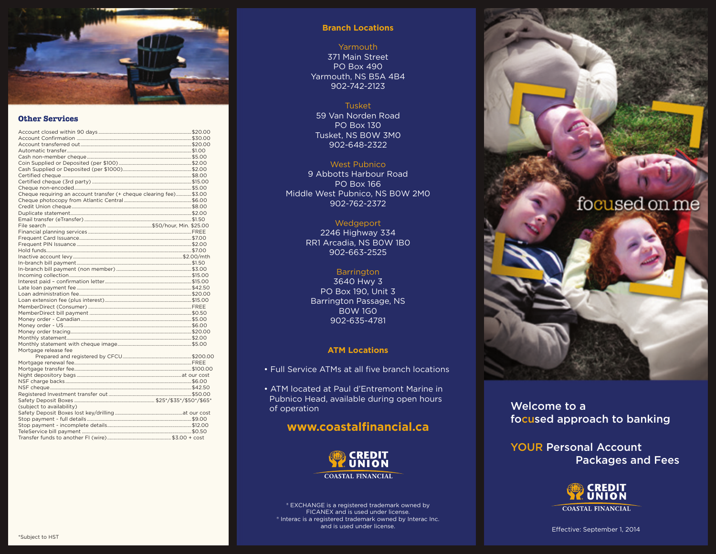

## **Other Services**

| Cheque requiring an account transfer (+ cheque clearing fee) \$3.00 |  |
|---------------------------------------------------------------------|--|
|                                                                     |  |
|                                                                     |  |
|                                                                     |  |
|                                                                     |  |
|                                                                     |  |
|                                                                     |  |
|                                                                     |  |
|                                                                     |  |
|                                                                     |  |
|                                                                     |  |
|                                                                     |  |
|                                                                     |  |
|                                                                     |  |
|                                                                     |  |
|                                                                     |  |
|                                                                     |  |
|                                                                     |  |
|                                                                     |  |
|                                                                     |  |
|                                                                     |  |
|                                                                     |  |
|                                                                     |  |
|                                                                     |  |
|                                                                     |  |
| Mortgage release fee                                                |  |
|                                                                     |  |
|                                                                     |  |
|                                                                     |  |
|                                                                     |  |
|                                                                     |  |
|                                                                     |  |
|                                                                     |  |
|                                                                     |  |
| (subject to availability)                                           |  |
|                                                                     |  |
|                                                                     |  |
|                                                                     |  |
|                                                                     |  |
|                                                                     |  |

## **Branch Locations**

## Yarmouth

371 Main Street PO Box 490 Yarmouth, NS B5A 4B4 902-742-2123

## Tusket

59 Van Norden Road PO Box 130 Tusket, NS B0W 3M0 902-648-2322

## West Pubnico

9 Abbotts Harbour Road PO Box 166 Middle West Pubnico, NS B0W 2M0 902-762-2372

## Wedgeport

2246 Highway 334 RR1 Arcadia, NS B0W 1B0 902-663-2525

## **Barrington**

3640 Hwy 3 PO Box 190, Unit 3 Barrington Passage, NS B0W 1G0 902-635-4781

## **ATM Locations**

- Full Service ATMs at all five branch locations
- ATM located at Paul d'Entremont Marine in Pubnico Head, available during open hours of operation

## **www.coastalfinancial.ca**



**COASTAL FINANCIAL** 

® EXCHANGE is a registered trademark owned by FICANEX and is used under license. ® Interac is a registered trademark owned by Interac Inc. and is used under license.



Welcome to a focused approach to banking

YOUR Personal Account Packages and Fees